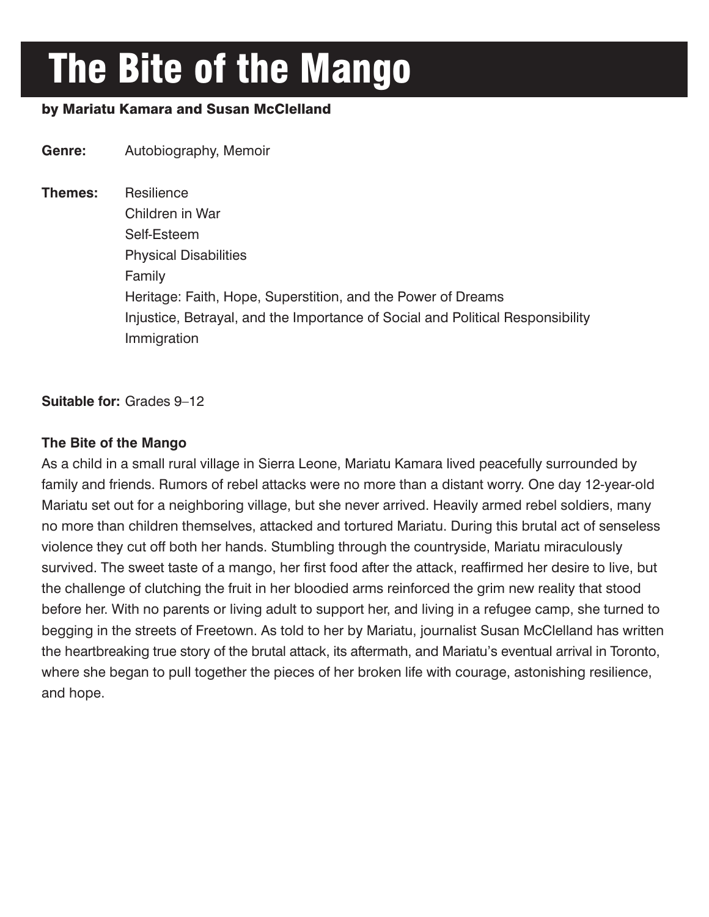# The Bite of the Mango

# by Mariatu Kamara and Susan McClelland

**Genre:** Autobiography, Memoir **Themes:** Resilience Children in War Self-Esteem Physical Disabilities Family Heritage: Faith, Hope, Superstition, and the Power of Dreams Injustice, Betrayal, and the Importance of Social and Political Responsibility Immigration

## **Suitable for:** Grades 9–12

## **The Bite of the Mango**

As a child in a small rural village in Sierra Leone, Mariatu Kamara lived peacefully surrounded by family and friends. Rumors of rebel attacks were no more than a distant worry. One day 12-year-old Mariatu set out for a neighboring village, but she never arrived. Heavily armed rebel soldiers, many no more than children themselves, attacked and tortured Mariatu. During this brutal act of senseless violence they cut off both her hands. Stumbling through the countryside, Mariatu miraculously survived. The sweet taste of a mango, her first food after the attack, reaffirmed her desire to live, but the challenge of clutching the fruit in her bloodied arms reinforced the grim new reality that stood before her. With no parents or living adult to support her, and living in a refugee camp, she turned to begging in the streets of Freetown. As told to her by Mariatu, journalist Susan McClelland has written the heartbreaking true story of the brutal attack, its aftermath, and Mariatu's eventual arrival in Toronto, where she began to pull together the pieces of her broken life with courage, astonishing resilience, and hope.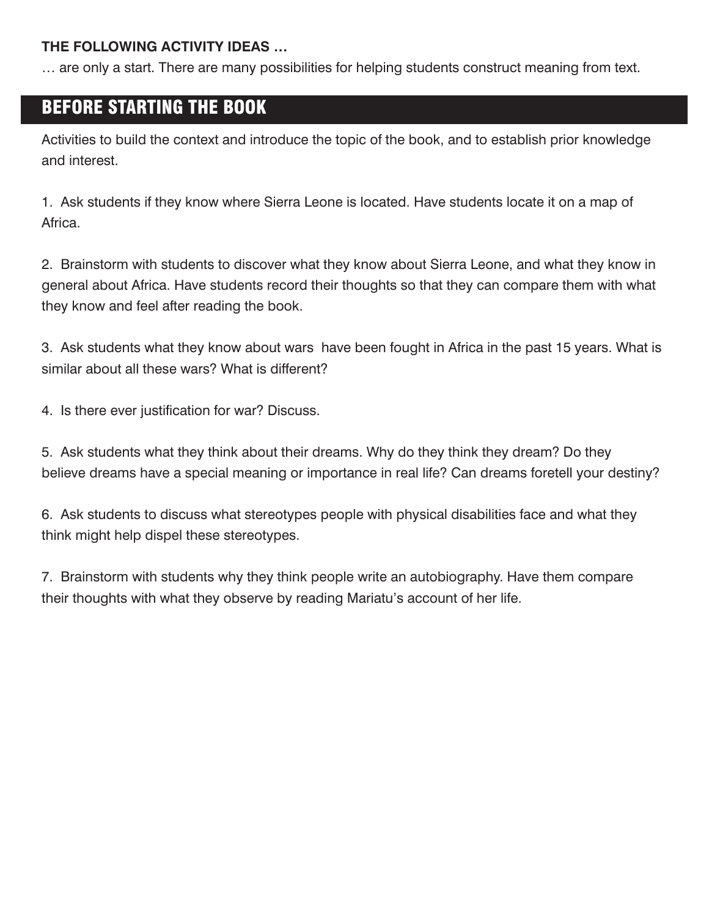## **THE FOLLOWING ACTIVITY IDEAS …**

… are only a start. There are many possibilities for helping students construct meaning from text.

# BEFORE STARTING THE BOOK

Activities to build the context and introduce the topic of the book, and to establish prior knowledge and interest.

1. Ask students if they know where Sierra Leone is located. Have students locate it on a map of Africa.

2. Brainstorm with students to discover what they know about Sierra Leone, and what they know in general about Africa. Have students record their thoughts so that they can compare them with what they know and feel after reading the book.

3. Ask students what they know about wars have been fought in Africa in the past 15 years. What is similar about all these wars? What is different?

4. Is there ever justification for war? Discuss.

5. Ask students what they think about their dreams. Why do they think they dream? Do they believe dreams have a special meaning or importance in real life? Can dreams foretell your destiny?

6. Ask students to discuss what stereotypes people with physical disabilities face and what they think might help dispel these stereotypes.

7. Brainstorm with students why they think people write an autobiography. Have them compare their thoughts with what they observe by reading Mariatu's account of her life.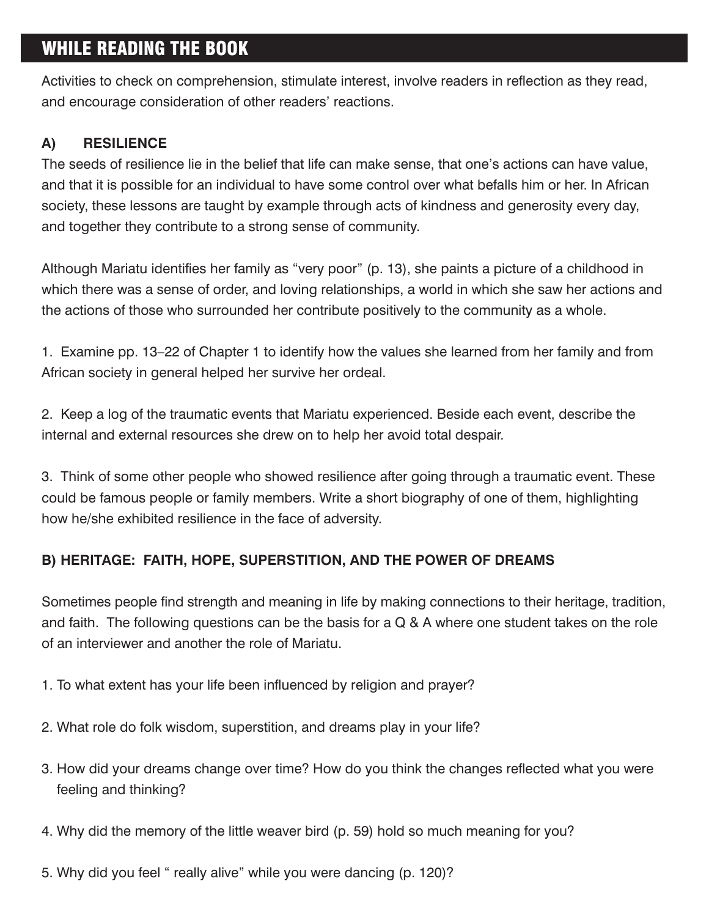# WHILE READING THE BOOK

Activities to check on comprehension, stimulate interest, involve readers in reflection as they read, and encourage consideration of other readers' reactions.

# **A) RESILIENCE**

The seeds of resilience lie in the belief that life can make sense, that one's actions can have value, and that it is possible for an individual to have some control over what befalls him or her. In African society, these lessons are taught by example through acts of kindness and generosity every day, and together they contribute to a strong sense of community.

Although Mariatu identifies her family as "very poor" (p. 13), she paints a picture of a childhood in which there was a sense of order, and loving relationships, a world in which she saw her actions and the actions of those who surrounded her contribute positively to the community as a whole.

1. Examine pp. 13–22 of Chapter 1 to identify how the values she learned from her family and from African society in general helped her survive her ordeal.

2. Keep a log of the traumatic events that Mariatu experienced. Beside each event, describe the internal and external resources she drew on to help her avoid total despair.

3. Think of some other people who showed resilience after going through a traumatic event. These could be famous people or family members. Write a short biography of one of them, highlighting how he/she exhibited resilience in the face of adversity.

# **B) HERITAGE: FAITH, HOPE, SUPERSTITION, AND THE POWER OF DREAMS**

Sometimes people find strength and meaning in life by making connections to their heritage, tradition, and faith. The following questions can be the basis for a Q & A where one student takes on the role of an interviewer and another the role of Mariatu.

- 1. To what extent has your life been influenced by religion and prayer?
- 2. What role do folk wisdom, superstition, and dreams play in your life?
- 3. How did your dreams change over time? How do you think the changes reflected what you were feeling and thinking?
- 4. Why did the memory of the little weaver bird (p. 59) hold so much meaning for you?
- 5. Why did you feel " really alive" while you were dancing (p. 120)?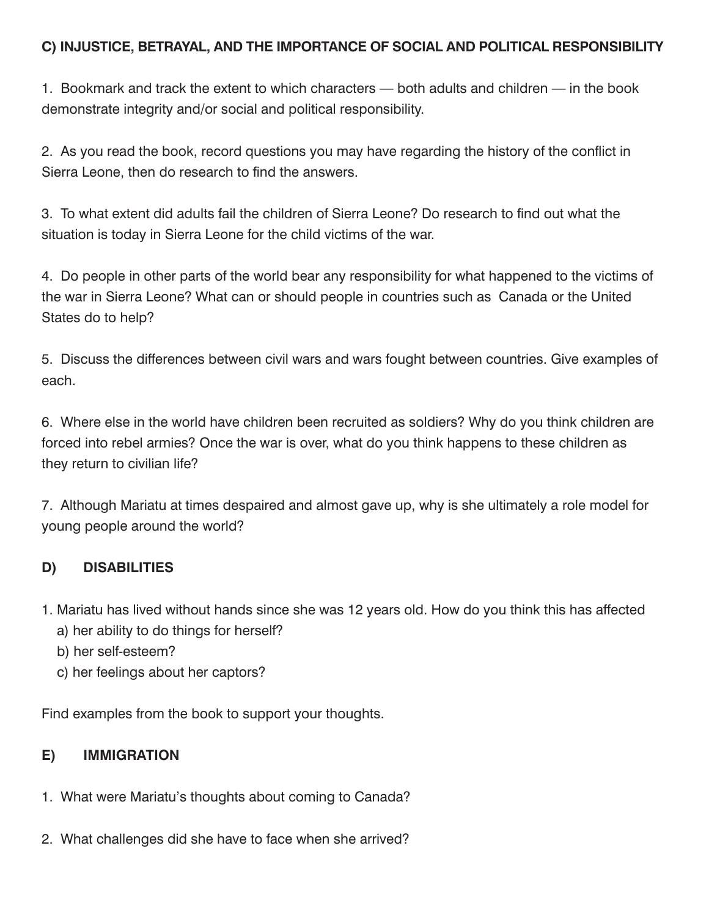## **C) INJUSTICE, BETRAYAL, AND THE IMPORTANCE OF SOCIAL AND POLITICAL RESPONSIBILITY**

1. Bookmark and track the extent to which characters — both adults and children — in the book demonstrate integrity and/or social and political responsibility.

2. As you read the book, record questions you may have regarding the history of the conflict in Sierra Leone, then do research to find the answers.

3. To what extent did adults fail the children of Sierra Leone? Do research to find out what the situation is today in Sierra Leone for the child victims of the war.

4. Do people in other parts of the world bear any responsibility for what happened to the victims of the war in Sierra Leone? What can or should people in countries such as Canada or the United States do to help?

5. Discuss the differences between civil wars and wars fought between countries. Give examples of each.

6. Where else in the world have children been recruited as soldiers? Why do you think children are forced into rebel armies? Once the war is over, what do you think happens to these children as they return to civilian life?

7. Although Mariatu at times despaired and almost gave up, why is she ultimately a role model for young people around the world?

# **D) DISABILITIES**

- 1. Mariatu has lived without hands since she was 12 years old. How do you think this has affected
	- a) her ability to do things for herself?
	- b) her self-esteem?
	- c) her feelings about her captors?

Find examples from the book to support your thoughts.

## **E) IMMIGRATION**

- 1. What were Mariatu's thoughts about coming to Canada?
- 2. What challenges did she have to face when she arrived?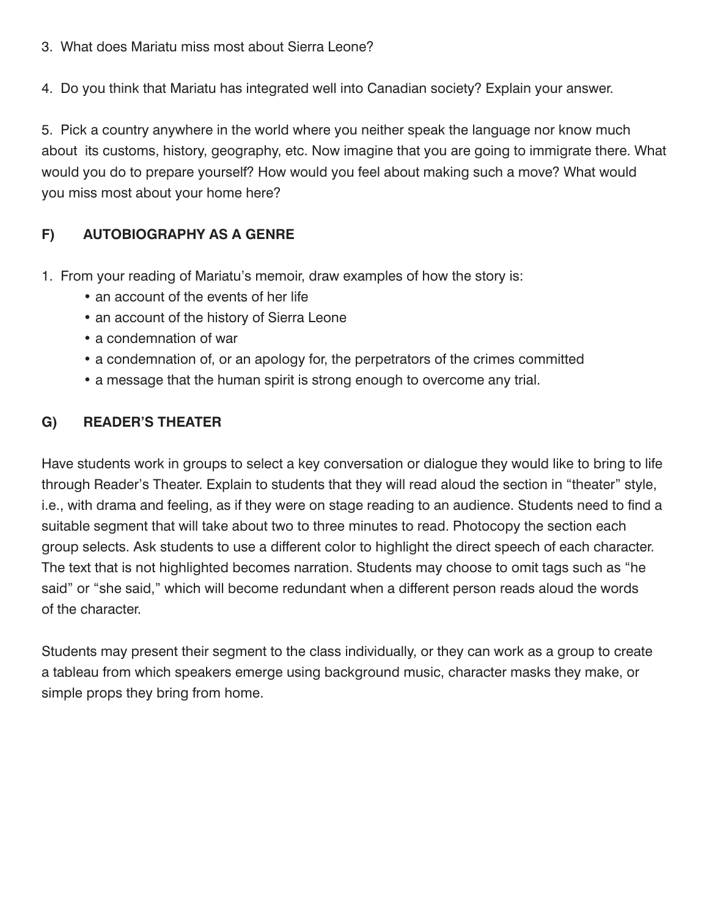- 3. What does Mariatu miss most about Sierra Leone?
- 4. Do you think that Mariatu has integrated well into Canadian society? Explain your answer.

5. Pick a country anywhere in the world where you neither speak the language nor know much about its customs, history, geography, etc. Now imagine that you are going to immigrate there. What would you do to prepare yourself? How would you feel about making such a move? What would you miss most about your home here?

# **F) AUTOBIOGRAPHY AS A GENRE**

- 1. From your reading of Mariatu's memoir, draw examples of how the story is:
	- an account of the events of her life
	- an account of the history of Sierra Leone
	- a condemnation of war
	- a condemnation of, or an apology for, the perpetrators of the crimes committed
	- a message that the human spirit is strong enough to overcome any trial.

# **G) READER'S THEATER**

Have students work in groups to select a key conversation or dialogue they would like to bring to life through Reader's Theater. Explain to students that they will read aloud the section in "theater" style, i.e., with drama and feeling, as if they were on stage reading to an audience. Students need to find a suitable segment that will take about two to three minutes to read. Photocopy the section each group selects. Ask students to use a different color to highlight the direct speech of each character. The text that is not highlighted becomes narration. Students may choose to omit tags such as "he said" or "she said," which will become redundant when a different person reads aloud the words of the character.

Students may present their segment to the class individually, or they can work as a group to create a tableau from which speakers emerge using background music, character masks they make, or simple props they bring from home.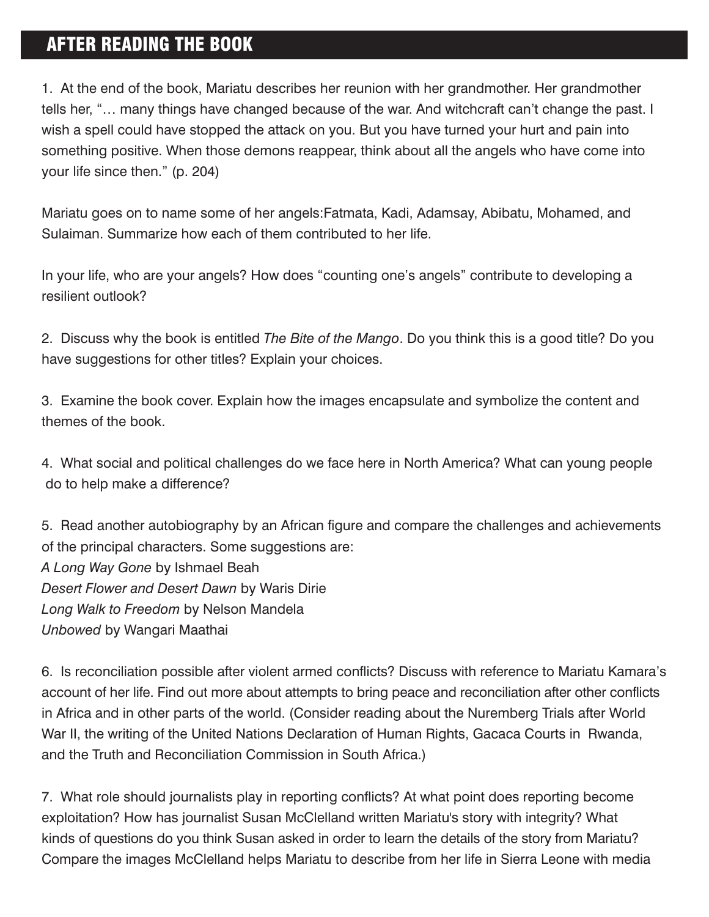# AFTER READING THE BOOK

1. At the end of the book, Mariatu describes her reunion with her grandmother. Her grandmother tells her, "… many things have changed because of the war. And witchcraft can't change the past. I wish a spell could have stopped the attack on you. But you have turned your hurt and pain into something positive. When those demons reappear, think about all the angels who have come into your life since then." (p. 204)

Mariatu goes on to name some of her angels:Fatmata, Kadi, Adamsay, Abibatu, Mohamed, and Sulaiman. Summarize how each of them contributed to her life.

In your life, who are your angels? How does "counting one's angels" contribute to developing a resilient outlook?

2. Discuss why the book is entitled *The Bite of the Mango*. Do you think this is a good title? Do you have suggestions for other titles? Explain your choices.

3. Examine the book cover. Explain how the images encapsulate and symbolize the content and themes of the book.

4. What social and political challenges do we face here in North America? What can young people do to help make a difference?

5. Read another autobiography by an African figure and compare the challenges and achievements of the principal characters. Some suggestions are: *A Long Way Gone* by Ishmael Beah *Desert Flower and Desert Dawn* by Waris Dirie *Long Walk to Freedom* by Nelson Mandela *Unbowed* by Wangari Maathai

6. Is reconciliation possible after violent armed conflicts? Discuss with reference to Mariatu Kamara's account of her life. Find out more about attempts to bring peace and reconciliation after other conflicts in Africa and in other parts of the world. (Consider reading about the Nuremberg Trials after World War II, the writing of the United Nations Declaration of Human Rights, Gacaca Courts in Rwanda, and the Truth and Reconciliation Commission in South Africa.)

7. What role should journalists play in reporting conflicts? At what point does reporting become exploitation? How has journalist Susan McClelland written Mariatu's story with integrity? What kinds of questions do you think Susan asked in order to learn the details of the story from Mariatu? Compare the images McClelland helps Mariatu to describe from her life in Sierra Leone with media